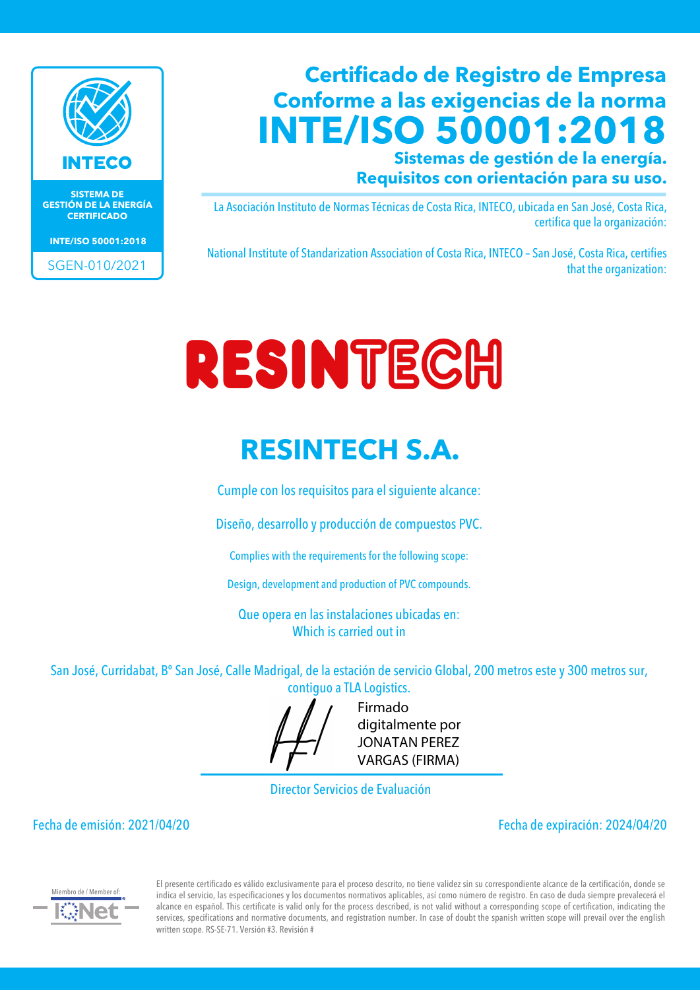

**SISTEMA DE GESTIÓN DE LA ENERGÍA CERTIFICADO**

**INTE/ISO 50001:2018**

SGEN-010/2021

### **Certificado de Registro de Empresa Conforme a las exigencias de la norma INTE/ISO 50001:2018**

**Sistemas de gestión de la energía. Requisitos con orientación para su uso.**

La Asociación Instituto de Normas Técnicas de Costa Rica, INTECO, ubicada en San José, Costa Rica, certifica que la organización:

National Institute of Standarization Association of Costa Rica, INTECO – San José, Costa Rica, certifies that the organization:

# RESINTECH

### **RESINTECH S.A.**

Cumple con los requisitos para el siguiente alcance:

Diseño, desarrollo y producción de compuestos PVC.

Complies with the requirements for the following scope:

Design, development and production of PVC compounds.

Que opera en las instalaciones ubicadas en: Which is carried out in

San José, Curridabat, Bº San José, Calle Madrigal, de la estación de servicio Global, 200 metros este y 300 metros sur, contiguo a TLA Logistics.



Firmado digitalmente por JONATAN PEREZ VARGAS (FIRMA)

Director Servicios de Evaluación

Fecha de emisión: 2021/04/20 Fecha de expiración: 2024/04/20



El presente certificado es válido exclusivamente para el proceso descrito, no tiene validez sin su correspondiente alcance de la certificación, donde se indica el servicio, las especificaciones y los documentos normativos aplicables, así como número de registro. En caso de duda siempre prevalecerá el alcance en español. This certificate is valid only for the process described, is not valid without a corresponding scope of certification, indicating the services, specifications and normative documents, and registration number. In case of doubt the spanish written scope will prevail over the english written scope. RS-SE-71. Versión #3. Revisión #